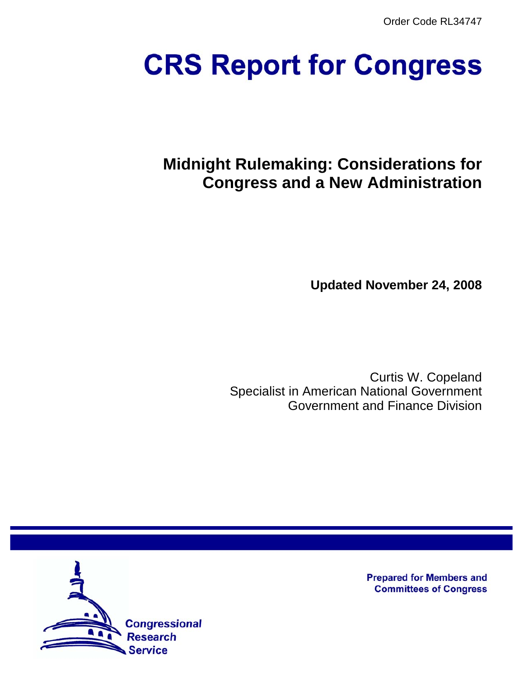Order Code RL34747

# **CRS Report for Congress**

# **Midnight Rulemaking: Considerations for Congress and a New Administration**

**Updated November 24, 2008**

Curtis W. Copeland Specialist in American National Government Government and Finance Division



**Prepared for Members and Committees of Congress**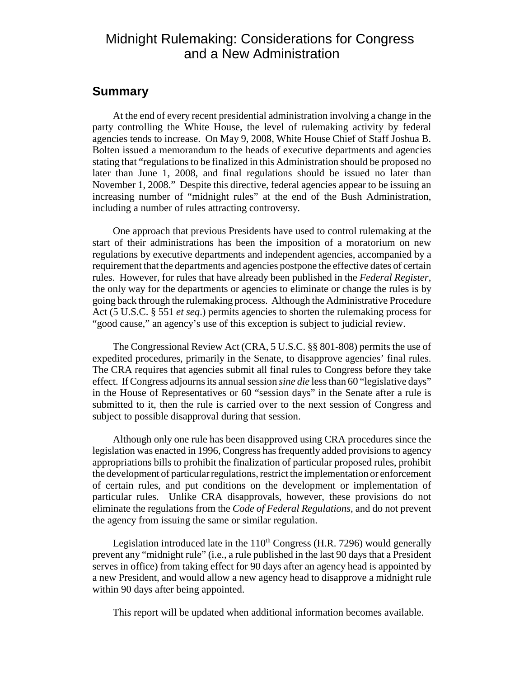# Midnight Rulemaking: Considerations for Congress and a New Administration

## **Summary**

At the end of every recent presidential administration involving a change in the party controlling the White House, the level of rulemaking activity by federal agencies tends to increase. On May 9, 2008, White House Chief of Staff Joshua B. Bolten issued a memorandum to the heads of executive departments and agencies stating that "regulations to be finalized in this Administration should be proposed no later than June 1, 2008, and final regulations should be issued no later than November 1, 2008." Despite this directive, federal agencies appear to be issuing an increasing number of "midnight rules" at the end of the Bush Administration, including a number of rules attracting controversy.

One approach that previous Presidents have used to control rulemaking at the start of their administrations has been the imposition of a moratorium on new regulations by executive departments and independent agencies, accompanied by a requirement that the departments and agencies postpone the effective dates of certain rules. However, for rules that have already been published in the *Federal Register*, the only way for the departments or agencies to eliminate or change the rules is by going back through the rulemaking process. Although the Administrative Procedure Act (5 U.S.C. § 551 *et seq*.) permits agencies to shorten the rulemaking process for "good cause," an agency's use of this exception is subject to judicial review.

The Congressional Review Act (CRA, 5 U.S.C. §§ 801-808) permits the use of expedited procedures, primarily in the Senate, to disapprove agencies' final rules. The CRA requires that agencies submit all final rules to Congress before they take effect. If Congress adjourns its annual session *sine die* less than 60 "legislative days" in the House of Representatives or 60 "session days" in the Senate after a rule is submitted to it, then the rule is carried over to the next session of Congress and subject to possible disapproval during that session.

Although only one rule has been disapproved using CRA procedures since the legislation was enacted in 1996, Congress has frequently added provisions to agency appropriations bills to prohibit the finalization of particular proposed rules, prohibit the development of particular regulations, restrict the implementation or enforcement of certain rules, and put conditions on the development or implementation of particular rules. Unlike CRA disapprovals, however, these provisions do not eliminate the regulations from the *Code of Federal Regulations*, and do not prevent the agency from issuing the same or similar regulation.

Legislation introduced late in the  $110<sup>th</sup>$  Congress (H.R. 7296) would generally prevent any "midnight rule" (i.e., a rule published in the last 90 days that a President serves in office) from taking effect for 90 days after an agency head is appointed by a new President, and would allow a new agency head to disapprove a midnight rule within 90 days after being appointed.

This report will be updated when additional information becomes available.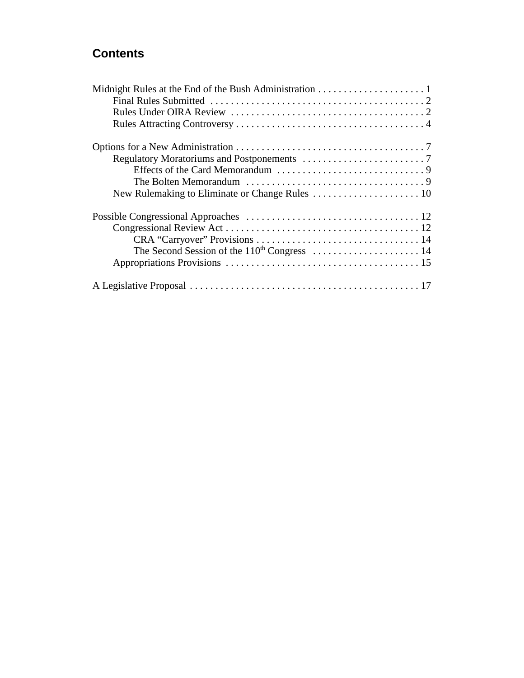# **Contents**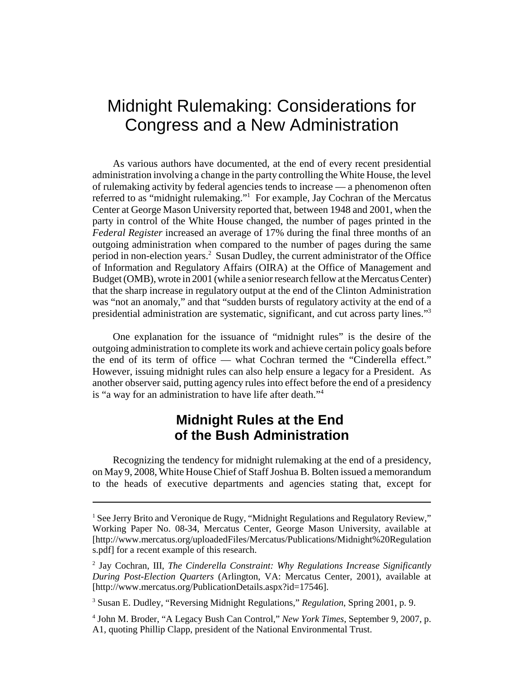# Midnight Rulemaking: Considerations for Congress and a New Administration

As various authors have documented, at the end of every recent presidential administration involving a change in the party controlling the White House, the level of rulemaking activity by federal agencies tends to increase — a phenomenon often referred to as "midnight rulemaking."<sup>1</sup> For example, Jay Cochran of the Mercatus Center at George Mason University reported that, between 1948 and 2001, when the party in control of the White House changed, the number of pages printed in the *Federal Register* increased an average of 17% during the final three months of an outgoing administration when compared to the number of pages during the same period in non-election years.<sup>2</sup> Susan Dudley, the current administrator of the Office of Information and Regulatory Affairs (OIRA) at the Office of Management and Budget (OMB), wrote in 2001 (while a senior research fellow at the Mercatus Center) that the sharp increase in regulatory output at the end of the Clinton Administration was "not an anomaly," and that "sudden bursts of regulatory activity at the end of a presidential administration are systematic, significant, and cut across party lines."3

One explanation for the issuance of "midnight rules" is the desire of the outgoing administration to complete its work and achieve certain policy goals before the end of its term of office — what Cochran termed the "Cinderella effect." However, issuing midnight rules can also help ensure a legacy for a President. As another observer said, putting agency rules into effect before the end of a presidency is "a way for an administration to have life after death."4

# **Midnight Rules at the End of the Bush Administration**

Recognizing the tendency for midnight rulemaking at the end of a presidency, on May 9, 2008, White House Chief of Staff Joshua B. Bolten issued a memorandum to the heads of executive departments and agencies stating that, except for

<sup>&</sup>lt;sup>1</sup> See Jerry Brito and Veronique de Rugy, "Midnight Regulations and Regulatory Review," Working Paper No. 08-34, Mercatus Center, George Mason University, available at [http://www.mercatus.org/uploadedFiles/Mercatus/Publications/Midnight%20Regulation s.pdf] for a recent example of this research.

<sup>2</sup> Jay Cochran, III, *The Cinderella Constraint: Why Regulations Increase Significantly During Post-Election Quarters* (Arlington, VA: Mercatus Center, 2001), available at [http://www.mercatus.org/PublicationDetails.aspx?id=17546].

<sup>3</sup> Susan E. Dudley, "Reversing Midnight Regulations," *Regulation*, Spring 2001, p. 9.

<sup>4</sup> John M. Broder, "A Legacy Bush Can Control," *New York Times*, September 9, 2007, p. A1, quoting Phillip Clapp, president of the National Environmental Trust.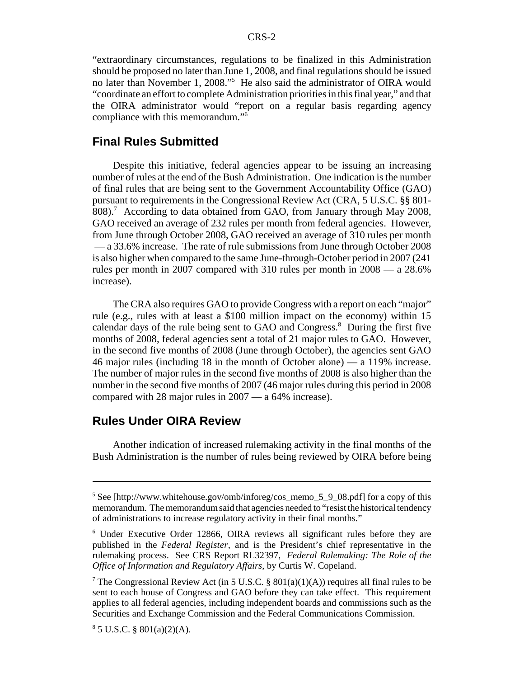"extraordinary circumstances, regulations to be finalized in this Administration should be proposed no later than June 1, 2008, and final regulations should be issued no later than November 1, 2008."5 He also said the administrator of OIRA would "coordinate an effort to complete Administration priorities in this final year," and that the OIRA administrator would "report on a regular basis regarding agency compliance with this memorandum."6

#### **Final Rules Submitted**

Despite this initiative, federal agencies appear to be issuing an increasing number of rules at the end of the Bush Administration. One indication is the number of final rules that are being sent to the Government Accountability Office (GAO) pursuant to requirements in the Congressional Review Act (CRA, 5 U.S.C. §§ 801- 808).<sup>7</sup> According to data obtained from GAO, from January through May 2008, GAO received an average of 232 rules per month from federal agencies. However, from June through October 2008, GAO received an average of 310 rules per month — a 33.6% increase. The rate of rule submissions from June through October 2008 is also higher when compared to the same June-through-October period in 2007 (241 rules per month in 2007 compared with 310 rules per month in 2008 — a 28.6% increase).

The CRA also requires GAO to provide Congress with a report on each "major" rule (e.g., rules with at least a \$100 million impact on the economy) within 15 calendar days of the rule being sent to GAO and Congress.<sup>8</sup> During the first five months of 2008, federal agencies sent a total of 21 major rules to GAO. However, in the second five months of 2008 (June through October), the agencies sent GAO 46 major rules (including 18 in the month of October alone) — a 119% increase. The number of major rules in the second five months of 2008 is also higher than the number in the second five months of 2007 (46 major rules during this period in 2008 compared with 28 major rules in 2007 — a 64% increase).

#### **Rules Under OIRA Review**

Another indication of increased rulemaking activity in the final months of the Bush Administration is the number of rules being reviewed by OIRA before being

<sup>&</sup>lt;sup>5</sup> See [http://www.whitehouse.gov/omb/inforeg/cos\_memo\_5\_9\_08.pdf] for a copy of this memorandum. The memorandum said that agencies needed to "resist the historical tendency of administrations to increase regulatory activity in their final months."

<sup>6</sup> Under Executive Order 12866, OIRA reviews all significant rules before they are published in the *Federal Register*, and is the President's chief representative in the rulemaking process. See CRS Report RL32397, *Federal Rulemaking: The Role of the Office of Information and Regulatory Affairs*, by Curtis W. Copeland.

<sup>&</sup>lt;sup>7</sup> The Congressional Review Act (in 5 U.S.C. § 801(a)(1)(A)) requires all final rules to be sent to each house of Congress and GAO before they can take effect. This requirement applies to all federal agencies, including independent boards and commissions such as the Securities and Exchange Commission and the Federal Communications Commission.

 $8^8$  5 U.S.C. § 801(a)(2)(A).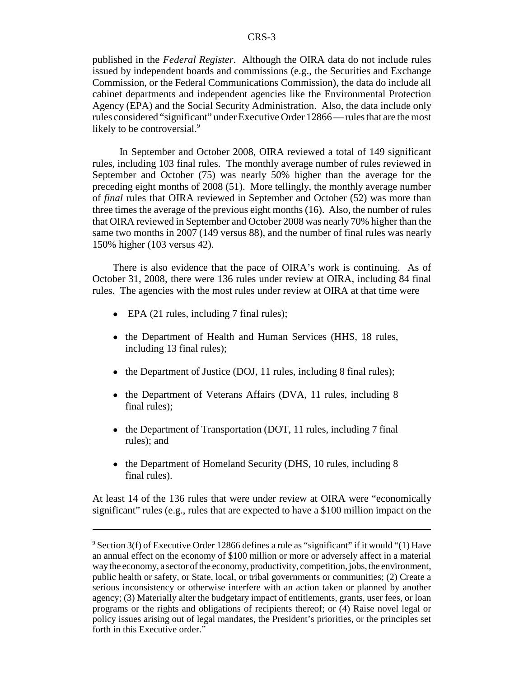published in the *Federal Register*. Although the OIRA data do not include rules issued by independent boards and commissions (e.g., the Securities and Exchange Commission, or the Federal Communications Commission), the data do include all cabinet departments and independent agencies like the Environmental Protection Agency (EPA) and the Social Security Administration. Also, the data include only rules considered "significant" under Executive Order 12866 — rules that are the most likely to be controversial.<sup>9</sup>

 In September and October 2008, OIRA reviewed a total of 149 significant rules, including 103 final rules. The monthly average number of rules reviewed in September and October (75) was nearly 50% higher than the average for the preceding eight months of 2008 (51). More tellingly, the monthly average number of *final* rules that OIRA reviewed in September and October (52) was more than three times the average of the previous eight months (16). Also, the number of rules that OIRA reviewed in September and October 2008 was nearly 70% higher than the same two months in 2007 (149 versus 88), and the number of final rules was nearly 150% higher (103 versus 42).

There is also evidence that the pace of OIRA's work is continuing. As of October 31, 2008, there were 136 rules under review at OIRA, including 84 final rules. The agencies with the most rules under review at OIRA at that time were

- EPA (21 rules, including 7 final rules);
- the Department of Health and Human Services (HHS, 18 rules, including 13 final rules);
- the Department of Justice (DOJ, 11 rules, including 8 final rules);
- the Department of Veterans Affairs (DVA, 11 rules, including 8 final rules);
- the Department of Transportation (DOT, 11 rules, including 7 final rules); and
- the Department of Homeland Security (DHS, 10 rules, including 8 final rules).

At least 14 of the 136 rules that were under review at OIRA were "economically significant" rules (e.g., rules that are expected to have a \$100 million impact on the

 $9$  Section 3(f) of Executive Order 12866 defines a rule as "significant" if it would "(1) Have an annual effect on the economy of \$100 million or more or adversely affect in a material way the economy, a sector of the economy, productivity, competition, jobs, the environment, public health or safety, or State, local, or tribal governments or communities; (2) Create a serious inconsistency or otherwise interfere with an action taken or planned by another agency; (3) Materially alter the budgetary impact of entitlements, grants, user fees, or loan programs or the rights and obligations of recipients thereof; or (4) Raise novel legal or policy issues arising out of legal mandates, the President's priorities, or the principles set forth in this Executive order."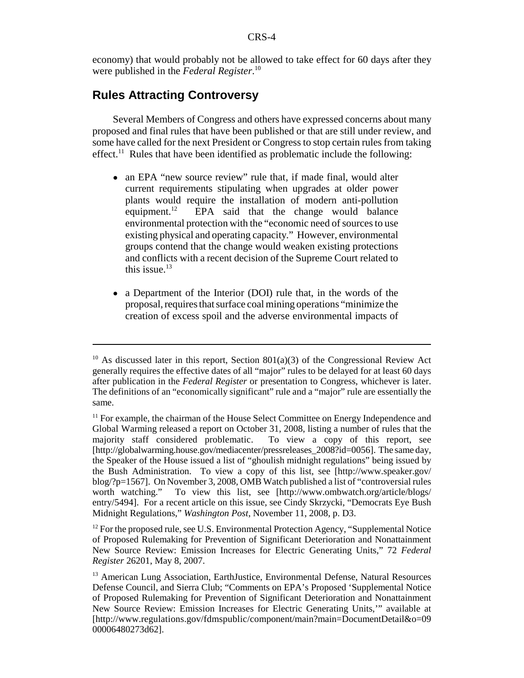economy) that would probably not be allowed to take effect for 60 days after they were published in the *Federal Register*. 10

## **Rules Attracting Controversy**

Several Members of Congress and others have expressed concerns about many proposed and final rules that have been published or that are still under review, and some have called for the next President or Congress to stop certain rules from taking effect.<sup>11</sup> Rules that have been identified as problematic include the following:

- an EPA "new source review" rule that, if made final, would alter current requirements stipulating when upgrades at older power plants would require the installation of modern anti-pollution equipment. $^{12}$  EPA said that the change would balance environmental protection with the "economic need of sources to use existing physical and operating capacity." However, environmental groups contend that the change would weaken existing protections and conflicts with a recent decision of the Supreme Court related to this issue. $13$
- a Department of the Interior (DOI) rule that, in the words of the proposal, requires that surface coal mining operations "minimize the creation of excess spoil and the adverse environmental impacts of

<sup>&</sup>lt;sup>10</sup> As discussed later in this report, Section 801(a)(3) of the Congressional Review Act generally requires the effective dates of all "major" rules to be delayed for at least 60 days after publication in the *Federal Register* or presentation to Congress, whichever is later. The definitions of an "economically significant" rule and a "major" rule are essentially the same.

 $<sup>11</sup>$  For example, the chairman of the House Select Committee on Energy Independence and</sup> Global Warming released a report on October 31, 2008, listing a number of rules that the majority staff considered problematic. To view a copy of this report, see [http://globalwarming.house.gov/mediacenter/pressreleases\_2008?id=0056]. The same day, the Speaker of the House issued a list of "ghoulish midnight regulations" being issued by the Bush Administration. To view a copy of this list, see [http://www.speaker.gov/ blog/?p=1567]. On November 3, 2008, OMB Watch published a list of "controversial rules worth watching." To view this list, see [http://www.ombwatch.org/article/blogs/ To view this list, see [http://www.ombwatch.org/article/blogs/ entry/5494]. For a recent article on this issue, see Cindy Skrzycki, "Democrats Eye Bush Midnight Regulations," *Washington Post*, November 11, 2008, p. D3.

 $12$  For the proposed rule, see U.S. Environmental Protection Agency, "Supplemental Notice of Proposed Rulemaking for Prevention of Significant Deterioration and Nonattainment New Source Review: Emission Increases for Electric Generating Units," 72 *Federal Register* 26201, May 8, 2007.

<sup>&</sup>lt;sup>13</sup> American Lung Association, EarthJustice, Environmental Defense, Natural Resources Defense Council, and Sierra Club; "Comments on EPA's Proposed 'Supplemental Notice of Proposed Rulemaking for Prevention of Significant Deterioration and Nonattainment New Source Review: Emission Increases for Electric Generating Units,'" available at [http://www.regulations.gov/fdmspublic/component/main?main=DocumentDetail&o=09 00006480273d62].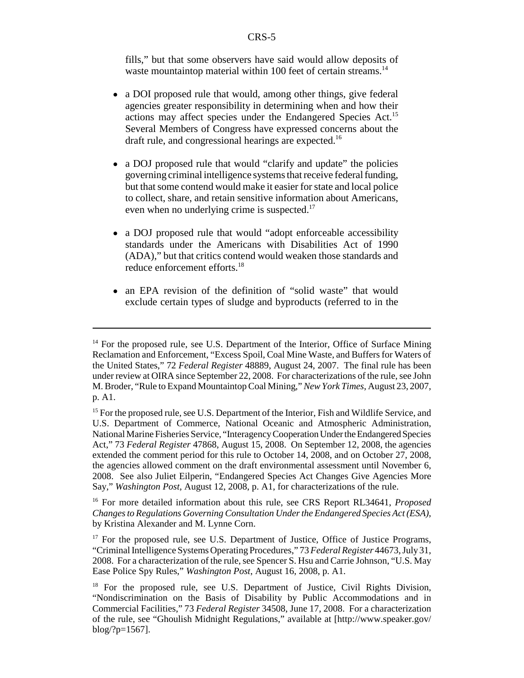fills," but that some observers have said would allow deposits of waste mountaintop material within 100 feet of certain streams.<sup>14</sup>

- a DOI proposed rule that would, among other things, give federal agencies greater responsibility in determining when and how their actions may affect species under the Endangered Species Act.15 Several Members of Congress have expressed concerns about the draft rule, and congressional hearings are expected.<sup>16</sup>
- a DOJ proposed rule that would "clarify and update" the policies governing criminal intelligence systems that receive federal funding, but that some contend would make it easier for state and local police to collect, share, and retain sensitive information about Americans, even when no underlying crime is suspected.<sup>17</sup>
- a DOJ proposed rule that would "adopt enforceable accessibility standards under the Americans with Disabilities Act of 1990 (ADA)," but that critics contend would weaken those standards and reduce enforcement efforts.<sup>18</sup>
- an EPA revision of the definition of "solid waste" that would exclude certain types of sludge and byproducts (referred to in the

 $14$  For the proposed rule, see U.S. Department of the Interior, Office of Surface Mining Reclamation and Enforcement, "Excess Spoil, Coal Mine Waste, and Buffers for Waters of the United States," 72 *Federal Register* 48889, August 24, 2007. The final rule has been under review at OIRA since September 22, 2008. For characterizations of the rule, see John M. Broder, "Rule to Expand Mountaintop Coal Mining," *New York Times*, August 23, 2007, p. A1.

<sup>&</sup>lt;sup>15</sup> For the proposed rule, see U.S. Department of the Interior, Fish and Wildlife Service, and U.S. Department of Commerce, National Oceanic and Atmospheric Administration, National Marine Fisheries Service, "Interagency Cooperation Under the Endangered Species Act," 73 *Federal Register* 47868, August 15, 2008. On September 12, 2008, the agencies extended the comment period for this rule to October 14, 2008, and on October 27, 2008, the agencies allowed comment on the draft environmental assessment until November 6, 2008. See also Juliet Eilperin, "Endangered Species Act Changes Give Agencies More Say," *Washington Post*, August 12, 2008, p. A1, for characterizations of the rule.

<sup>16</sup> For more detailed information about this rule, see CRS Report RL34641, *Proposed Changes to Regulations Governing Consultation Under the Endangered Species Act (ESA)*, by Kristina Alexander and M. Lynne Corn.

 $17$  For the proposed rule, see U.S. Department of Justice, Office of Justice Programs, "Criminal Intelligence Systems Operating Procedures," 73 *Federal Register* 44673, July 31, 2008. For a characterization of the rule, see Spencer S. Hsu and Carrie Johnson, "U.S. May Ease Police Spy Rules," *Washington Post*, August 16, 2008, p. A1.

<sup>&</sup>lt;sup>18</sup> For the proposed rule, see U.S. Department of Justice, Civil Rights Division, "Nondiscrimination on the Basis of Disability by Public Accommodations and in Commercial Facilities," 73 *Federal Register* 34508, June 17, 2008. For a characterization of the rule, see "Ghoulish Midnight Regulations," available at [http://www.speaker.gov/ blog/?p=1567].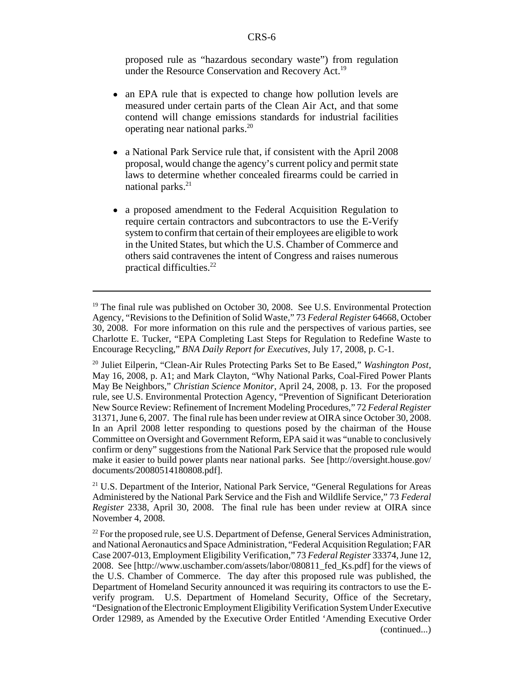proposed rule as "hazardous secondary waste") from regulation under the Resource Conservation and Recovery Act.<sup>19</sup>

- an EPA rule that is expected to change how pollution levels are measured under certain parts of the Clean Air Act, and that some contend will change emissions standards for industrial facilities operating near national parks.20
- a National Park Service rule that, if consistent with the April 2008 proposal, would change the agency's current policy and permit state laws to determine whether concealed firearms could be carried in national parks.<sup>21</sup>
- a proposed amendment to the Federal Acquisition Regulation to require certain contractors and subcontractors to use the E-Verify system to confirm that certain of their employees are eligible to work in the United States, but which the U.S. Chamber of Commerce and others said contravenes the intent of Congress and raises numerous practical difficulties.22

<sup>21</sup> U.S. Department of the Interior, National Park Service, "General Regulations for Areas Administered by the National Park Service and the Fish and Wildlife Service," 73 *Federal Register* 2338, April 30, 2008. The final rule has been under review at OIRA since November 4, 2008.

<sup>&</sup>lt;sup>19</sup> The final rule was published on October 30, 2008. See U.S. Environmental Protection Agency, "Revisions to the Definition of Solid Waste," 73 *Federal Register* 64668, October 30, 2008. For more information on this rule and the perspectives of various parties, see Charlotte E. Tucker, "EPA Completing Last Steps for Regulation to Redefine Waste to Encourage Recycling," *BNA Daily Report for Executives*, July 17, 2008, p. C-1.

<sup>20</sup> Juliet Eilperin, "Clean-Air Rules Protecting Parks Set to Be Eased," *Washington Post*, May 16, 2008, p. A1; and Mark Clayton, "Why National Parks, Coal-Fired Power Plants May Be Neighbors," *Christian Science Monitor*, April 24, 2008, p. 13. For the proposed rule, see U.S. Environmental Protection Agency, "Prevention of Significant Deterioration New Source Review: Refinement of Increment Modeling Procedures," 72 *Federal Register* 31371, June 6, 2007. The final rule has been under review at OIRA since October 30, 2008. In an April 2008 letter responding to questions posed by the chairman of the House Committee on Oversight and Government Reform, EPA said it was "unable to conclusively confirm or deny" suggestions from the National Park Service that the proposed rule would make it easier to build power plants near national parks. See [http://oversight.house.gov/ documents/20080514180808.pdf].

 $22$  For the proposed rule, see U.S. Department of Defense, General Services Administration, and National Aeronautics and Space Administration, "Federal Acquisition Regulation; FAR Case 2007-013, Employment Eligibility Verification," 73 *Federal Register* 33374, June 12, 2008. See [http://www.uschamber.com/assets/labor/080811\_fed\_Ks.pdf] for the views of the U.S. Chamber of Commerce. The day after this proposed rule was published, the Department of Homeland Security announced it was requiring its contractors to use the Everify program. U.S. Department of Homeland Security, Office of the Secretary, "Designation of the Electronic Employment Eligibility Verification System Under Executive Order 12989, as Amended by the Executive Order Entitled 'Amending Executive Order (continued...)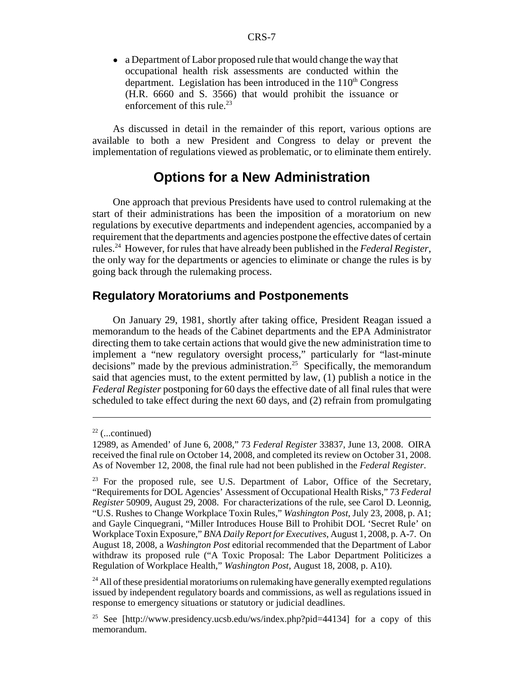• a Department of Labor proposed rule that would change the way that occupational health risk assessments are conducted within the department. Legislation has been introduced in the  $110<sup>th</sup>$  Congress (H.R. 6660 and S. 3566) that would prohibit the issuance or enforcement of this rule. $^{23}$ 

As discussed in detail in the remainder of this report, various options are available to both a new President and Congress to delay or prevent the implementation of regulations viewed as problematic, or to eliminate them entirely.

# **Options for a New Administration**

One approach that previous Presidents have used to control rulemaking at the start of their administrations has been the imposition of a moratorium on new regulations by executive departments and independent agencies, accompanied by a requirement that the departments and agencies postpone the effective dates of certain rules.24 However, for rules that have already been published in the *Federal Register*, the only way for the departments or agencies to eliminate or change the rules is by going back through the rulemaking process.

#### **Regulatory Moratoriums and Postponements**

On January 29, 1981, shortly after taking office, President Reagan issued a memorandum to the heads of the Cabinet departments and the EPA Administrator directing them to take certain actions that would give the new administration time to implement a "new regulatory oversight process," particularly for "last-minute decisions" made by the previous administration.<sup>25</sup> Specifically, the memorandum said that agencies must, to the extent permitted by law, (1) publish a notice in the *Federal Register* postponing for 60 days the effective date of all final rules that were scheduled to take effect during the next 60 days, and (2) refrain from promulgating

 $22$  (...continued)

<sup>12989,</sup> as Amended' of June 6, 2008," 73 *Federal Register* 33837, June 13, 2008. OIRA received the final rule on October 14, 2008, and completed its review on October 31, 2008. As of November 12, 2008, the final rule had not been published in the *Federal Register*.

 $23$  For the proposed rule, see U.S. Department of Labor, Office of the Secretary, "Requirements for DOL Agencies' Assessment of Occupational Health Risks," 73 *Federal Register* 50909, August 29, 2008. For characterizations of the rule, see Carol D. Leonnig, "U.S. Rushes to Change Workplace Toxin Rules," *Washington Post*, July 23, 2008, p. A1; and Gayle Cinquegrani, "Miller Introduces House Bill to Prohibit DOL 'Secret Rule' on Workplace Toxin Exposure," *BNA Daily Report for Executives*, August 1, 2008, p. A-7. On August 18, 2008, a *Washington Post* editorial recommended that the Department of Labor withdraw its proposed rule ("A Toxic Proposal: The Labor Department Politicizes a Regulation of Workplace Health," *Washington Post*, August 18, 2008, p. A10).

<sup>&</sup>lt;sup>24</sup> All of these presidential moratoriums on rulemaking have generally exempted regulations issued by independent regulatory boards and commissions, as well as regulations issued in response to emergency situations or statutory or judicial deadlines.

<sup>&</sup>lt;sup>25</sup> See [http://www.presidency.ucsb.edu/ws/index.php?pid=44134] for a copy of this memorandum.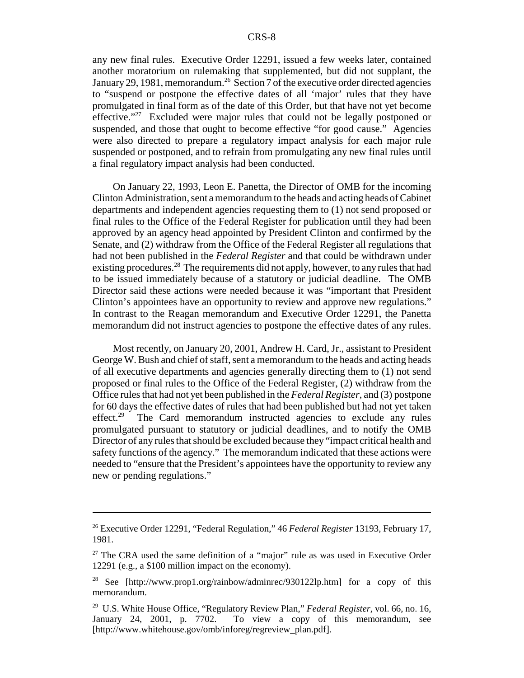any new final rules. Executive Order 12291, issued a few weeks later, contained another moratorium on rulemaking that supplemented, but did not supplant, the January 29, 1981, memorandum.<sup>26</sup> Section 7 of the executive order directed agencies to "suspend or postpone the effective dates of all 'major' rules that they have promulgated in final form as of the date of this Order, but that have not yet become effective."27 Excluded were major rules that could not be legally postponed or suspended, and those that ought to become effective "for good cause." Agencies were also directed to prepare a regulatory impact analysis for each major rule suspended or postponed, and to refrain from promulgating any new final rules until a final regulatory impact analysis had been conducted.

On January 22, 1993, Leon E. Panetta, the Director of OMB for the incoming Clinton Administration, sent a memorandum to the heads and acting heads of Cabinet departments and independent agencies requesting them to (1) not send proposed or final rules to the Office of the Federal Register for publication until they had been approved by an agency head appointed by President Clinton and confirmed by the Senate, and (2) withdraw from the Office of the Federal Register all regulations that had not been published in the *Federal Register* and that could be withdrawn under existing procedures.<sup>28</sup> The requirements did not apply, however, to any rules that had to be issued immediately because of a statutory or judicial deadline. The OMB Director said these actions were needed because it was "important that President Clinton's appointees have an opportunity to review and approve new regulations." In contrast to the Reagan memorandum and Executive Order 12291, the Panetta memorandum did not instruct agencies to postpone the effective dates of any rules.

Most recently, on January 20, 2001, Andrew H. Card, Jr., assistant to President George W. Bush and chief of staff, sent a memorandum to the heads and acting heads of all executive departments and agencies generally directing them to (1) not send proposed or final rules to the Office of the Federal Register, (2) withdraw from the Office rules that had not yet been published in the *Federal Register*, and (3) postpone for 60 days the effective dates of rules that had been published but had not yet taken effect.<sup>29</sup> The Card memorandum instructed agencies to exclude any rules promulgated pursuant to statutory or judicial deadlines, and to notify the OMB Director of any rules that should be excluded because they "impact critical health and safety functions of the agency." The memorandum indicated that these actions were needed to "ensure that the President's appointees have the opportunity to review any new or pending regulations."

<sup>26</sup> Executive Order 12291, "Federal Regulation," 46 *Federal Register* 13193, February 17, 1981.

<sup>&</sup>lt;sup>27</sup> The CRA used the same definition of a "major" rule as was used in Executive Order 12291 (e.g., a \$100 million impact on the economy).

<sup>&</sup>lt;sup>28</sup> See [http://www.prop1.org/rainbow/adminrec/930122lp.htm] for a copy of this memorandum.

<sup>29</sup> U.S. White House Office, "Regulatory Review Plan," *Federal Register*, vol. 66, no. 16, January 24, 2001, p. 7702. To view a copy of this memorandum, see [http://www.whitehouse.gov/omb/inforeg/regreview\_plan.pdf].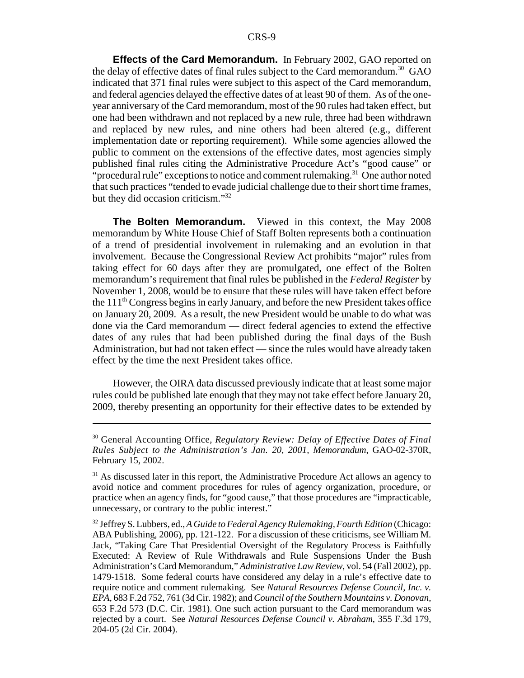**Effects of the Card Memorandum.** In February 2002, GAO reported on the delay of effective dates of final rules subject to the Card memorandum.<sup>30</sup> GAO indicated that 371 final rules were subject to this aspect of the Card memorandum, and federal agencies delayed the effective dates of at least 90 of them. As of the oneyear anniversary of the Card memorandum, most of the 90 rules had taken effect, but one had been withdrawn and not replaced by a new rule, three had been withdrawn and replaced by new rules, and nine others had been altered (e.g., different implementation date or reporting requirement). While some agencies allowed the public to comment on the extensions of the effective dates, most agencies simply published final rules citing the Administrative Procedure Act's "good cause" or "procedural rule" exceptions to notice and comment rulemaking.<sup>31</sup> One author noted that such practices "tended to evade judicial challenge due to their short time frames, but they did occasion criticism."32

**The Bolten Memorandum.** Viewed in this context, the May 2008 memorandum by White House Chief of Staff Bolten represents both a continuation of a trend of presidential involvement in rulemaking and an evolution in that involvement. Because the Congressional Review Act prohibits "major" rules from taking effect for 60 days after they are promulgated, one effect of the Bolten memorandum's requirement that final rules be published in the *Federal Register* by November 1, 2008, would be to ensure that these rules will have taken effect before the 111th Congress begins in early January, and before the new President takes office on January 20, 2009. As a result, the new President would be unable to do what was done via the Card memorandum — direct federal agencies to extend the effective dates of any rules that had been published during the final days of the Bush Administration, but had not taken effect — since the rules would have already taken effect by the time the next President takes office.

However, the OIRA data discussed previously indicate that at least some major rules could be published late enough that they may not take effect before January 20, 2009, thereby presenting an opportunity for their effective dates to be extended by

<sup>30</sup> General Accounting Office, *Regulatory Review: Delay of Effective Dates of Final Rules Subject to the Administration's Jan. 20, 2001, Memorandum*, GAO-02-370R, February 15, 2002.

<sup>&</sup>lt;sup>31</sup> As discussed later in this report, the Administrative Procedure Act allows an agency to avoid notice and comment procedures for rules of agency organization, procedure, or practice when an agency finds, for "good cause," that those procedures are "impracticable, unnecessary, or contrary to the public interest."

<sup>32</sup> Jeffrey S. Lubbers, ed., *A Guide to Federal Agency Rulemaking, Fourth Edition* (Chicago: ABA Publishing, 2006), pp. 121-122. For a discussion of these criticisms, see William M. Jack, "Taking Care That Presidential Oversight of the Regulatory Process is Faithfully Executed: A Review of Rule Withdrawals and Rule Suspensions Under the Bush Administration's Card Memorandum," *Administrative Law Review*, vol. 54 (Fall 2002), pp. 1479-1518. Some federal courts have considered any delay in a rule's effective date to require notice and comment rulemaking. See *Natural Resources Defense Council, Inc. v. EPA*, 683 F.2d 752, 761 (3d Cir. 1982); and *Council of the Southern Mountains v. Donovan*, 653 F.2d 573 (D.C. Cir. 1981). One such action pursuant to the Card memorandum was rejected by a court. See *Natural Resources Defense Council v. Abraham*, 355 F.3d 179, 204-05 (2d Cir. 2004).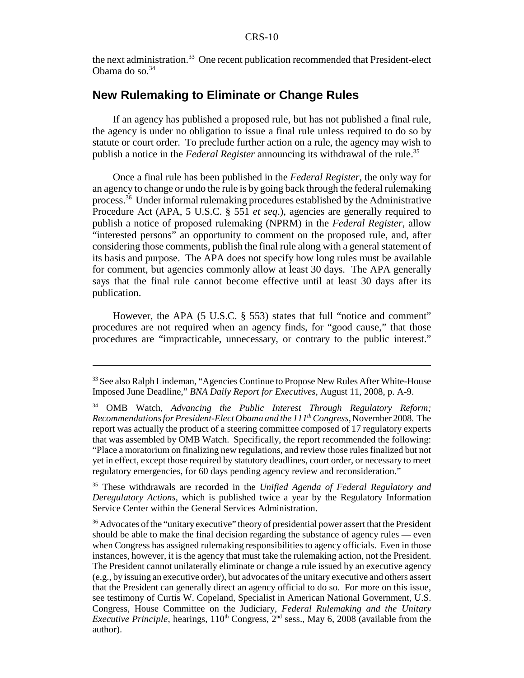the next administration.<sup>33</sup> One recent publication recommended that President-elect Obama do so.34

# **New Rulemaking to Eliminate or Change Rules**

If an agency has published a proposed rule, but has not published a final rule, the agency is under no obligation to issue a final rule unless required to do so by statute or court order. To preclude further action on a rule, the agency may wish to publish a notice in the *Federal Register* announcing its withdrawal of the rule.<sup>35</sup>

Once a final rule has been published in the *Federal Register*, the only way for an agency to change or undo the rule is by going back through the federal rulemaking process.36 Under informal rulemaking procedures established by the Administrative Procedure Act (APA, 5 U.S.C. § 551 *et seq*.), agencies are generally required to publish a notice of proposed rulemaking (NPRM) in the *Federal Register*, allow "interested persons" an opportunity to comment on the proposed rule, and, after considering those comments, publish the final rule along with a general statement of its basis and purpose. The APA does not specify how long rules must be available for comment, but agencies commonly allow at least 30 days. The APA generally says that the final rule cannot become effective until at least 30 days after its publication.

However, the APA (5 U.S.C. § 553) states that full "notice and comment" procedures are not required when an agency finds, for "good cause," that those procedures are "impracticable, unnecessary, or contrary to the public interest."

35 These withdrawals are recorded in the *Unified Agenda of Federal Regulatory and Deregulatory Actions*, which is published twice a year by the Regulatory Information Service Center within the General Services Administration.

 $36$  Advocates of the "unitary executive" theory of presidential power assert that the President should be able to make the final decision regarding the substance of agency rules — even when Congress has assigned rulemaking responsibilities to agency officials. Even in those instances, however, it is the agency that must take the rulemaking action, not the President. The President cannot unilaterally eliminate or change a rule issued by an executive agency (e.g., by issuing an executive order), but advocates of the unitary executive and others assert that the President can generally direct an agency official to do so. For more on this issue, see testimony of Curtis W. Copeland, Specialist in American National Government, U.S. Congress, House Committee on the Judiciary, *Federal Rulemaking and the Unitary Executive Principle*, hearings,  $110<sup>th</sup>$  Congress,  $2<sup>nd</sup>$  sess., May 6, 2008 (available from the author).

<sup>&</sup>lt;sup>33</sup> See also Ralph Lindeman, "Agencies Continue to Propose New Rules After White-House Imposed June Deadline," *BNA Daily Report for Executives*, August 11, 2008, p. A-9.

<sup>34</sup> OMB Watch, *Advancing the Public Interest Through Regulatory Reform; Recommendations for President-Elect Obama and the 111th Congress*, November 2008. The report was actually the product of a steering committee composed of 17 regulatory experts that was assembled by OMB Watch. Specifically, the report recommended the following: "Place a moratorium on finalizing new regulations, and review those rules finalized but not yet in effect, except those required by statutory deadlines, court order, or necessary to meet regulatory emergencies, for 60 days pending agency review and reconsideration."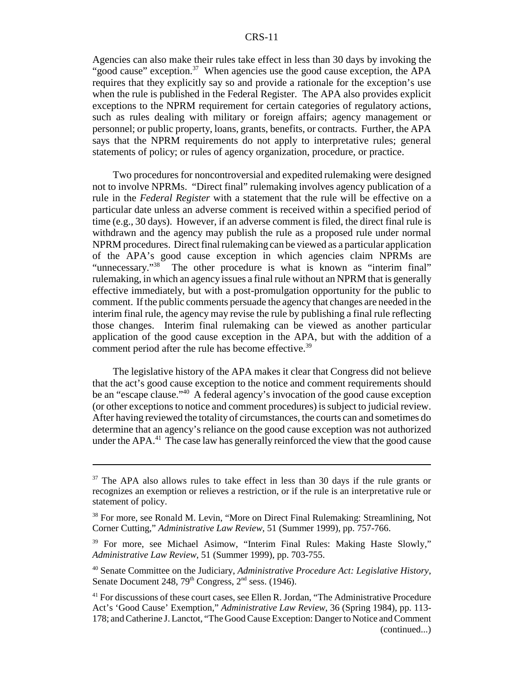#### CRS-11

Agencies can also make their rules take effect in less than 30 days by invoking the "good cause" exception.<sup>37</sup> When agencies use the good cause exception, the APA requires that they explicitly say so and provide a rationale for the exception's use when the rule is published in the Federal Register. The APA also provides explicit exceptions to the NPRM requirement for certain categories of regulatory actions, such as rules dealing with military or foreign affairs; agency management or personnel; or public property, loans, grants, benefits, or contracts. Further, the APA says that the NPRM requirements do not apply to interpretative rules; general statements of policy; or rules of agency organization, procedure, or practice.

Two procedures for noncontroversial and expedited rulemaking were designed not to involve NPRMs. "Direct final" rulemaking involves agency publication of a rule in the *Federal Register* with a statement that the rule will be effective on a particular date unless an adverse comment is received within a specified period of time (e.g., 30 days). However, if an adverse comment is filed, the direct final rule is withdrawn and the agency may publish the rule as a proposed rule under normal NPRM procedures. Direct final rulemaking can be viewed as a particular application of the APA's good cause exception in which agencies claim NPRMs are "unnecessary."<sup>38</sup> The other procedure is what is known as "interim final" rulemaking, in which an agency issues a final rule without an NPRM that is generally effective immediately, but with a post-promulgation opportunity for the public to comment. If the public comments persuade the agency that changes are needed in the interim final rule, the agency may revise the rule by publishing a final rule reflecting those changes. Interim final rulemaking can be viewed as another particular application of the good cause exception in the APA, but with the addition of a comment period after the rule has become effective.<sup>39</sup>

The legislative history of the APA makes it clear that Congress did not believe that the act's good cause exception to the notice and comment requirements should be an "escape clause."40 A federal agency's invocation of the good cause exception (or other exceptions to notice and comment procedures) is subject to judicial review. After having reviewed the totality of circumstances, the courts can and sometimes do determine that an agency's reliance on the good cause exception was not authorized under the  $APA<sup>41</sup>$ . The case law has generally reinforced the view that the good cause

 $37$  The APA also allows rules to take effect in less than 30 days if the rule grants or recognizes an exemption or relieves a restriction, or if the rule is an interpretative rule or statement of policy.

<sup>&</sup>lt;sup>38</sup> For more, see Ronald M. Levin, "More on Direct Final Rulemaking: Streamlining, Not Corner Cutting," *Administrative Law Review*, 51 (Summer 1999), pp. 757-766.

<sup>&</sup>lt;sup>39</sup> For more, see Michael Asimow, "Interim Final Rules: Making Haste Slowly," *Administrative Law Review*, 51 (Summer 1999), pp. 703-755.

<sup>40</sup> Senate Committee on the Judiciary, *Administrative Procedure Act: Legislative History*, Senate Document 248,  $79<sup>th</sup>$  Congress,  $2<sup>nd</sup>$  sess. (1946).

<sup>&</sup>lt;sup>41</sup> For discussions of these court cases, see Ellen R. Jordan, "The Administrative Procedure Act's 'Good Cause' Exemption," *Administrative Law Review*, 36 (Spring 1984), pp. 113- 178; and Catherine J. Lanctot, "The Good Cause Exception: Danger to Notice and Comment (continued...)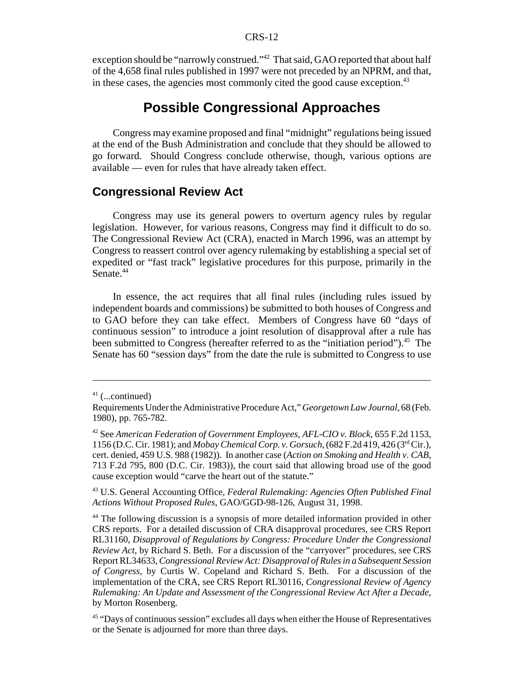#### CRS-12

exception should be "narrowly construed."<sup>42</sup> That said, GAO reported that about half of the 4,658 final rules published in 1997 were not preceded by an NPRM, and that, in these cases, the agencies most commonly cited the good cause exception.<sup>43</sup>

# **Possible Congressional Approaches**

Congress may examine proposed and final "midnight" regulations being issued at the end of the Bush Administration and conclude that they should be allowed to go forward. Should Congress conclude otherwise, though, various options are available — even for rules that have already taken effect.

#### **Congressional Review Act**

Congress may use its general powers to overturn agency rules by regular legislation. However, for various reasons, Congress may find it difficult to do so. The Congressional Review Act (CRA), enacted in March 1996, was an attempt by Congress to reassert control over agency rulemaking by establishing a special set of expedited or "fast track" legislative procedures for this purpose, primarily in the Senate.<sup>44</sup>

In essence, the act requires that all final rules (including rules issued by independent boards and commissions) be submitted to both houses of Congress and to GAO before they can take effect. Members of Congress have 60 "days of continuous session" to introduce a joint resolution of disapproval after a rule has been submitted to Congress (hereafter referred to as the "initiation period").<sup>45</sup> The Senate has 60 "session days" from the date the rule is submitted to Congress to use

43 U.S. General Accounting Office, *Federal Rulemaking: Agencies Often Published Final Actions Without Proposed Rules*, GAO/GGD-98-126, August 31, 1998.

 $41$  (...continued)

Requirements Under the Administrative Procedure Act," *Georgetown Law Journal*, 68 (Feb. 1980), pp. 765-782.

<sup>42</sup> See *American Federation of Government Employees, AFL-CIO v. Block*, 655 F.2d 1153, 1156 (D.C. Cir. 1981); and *Mobay Chemical Corp. v. Gorsuch*, (682 F.2d 419, 426 (3rd Cir.), cert. denied, 459 U.S. 988 (1982)). In another case (*Action on Smoking and Health v. CAB*, 713 F.2d 795, 800 (D.C. Cir. 1983)), the court said that allowing broad use of the good cause exception would "carve the heart out of the statute."

<sup>&</sup>lt;sup>44</sup> The following discussion is a synopsis of more detailed information provided in other CRS reports. For a detailed discussion of CRA disapproval procedures, see CRS Report RL31160, *Disapproval of Regulations by Congress: Procedure Under the Congressional Review Act*, by Richard S. Beth. For a discussion of the "carryover" procedures, see CRS Report RL34633, *Congressional Review Act: Disapproval of Rules in a Subsequent Session of Congress*, by Curtis W. Copeland and Richard S. Beth. For a discussion of the implementation of the CRA, see CRS Report RL30116, *Congressional Review of Agency Rulemaking: An Update and Assessment of the Congressional Review Act After a Decade*, by Morton Rosenberg.

<sup>&</sup>lt;sup>45</sup> "Days of continuous session" excludes all days when either the House of Representatives or the Senate is adjourned for more than three days.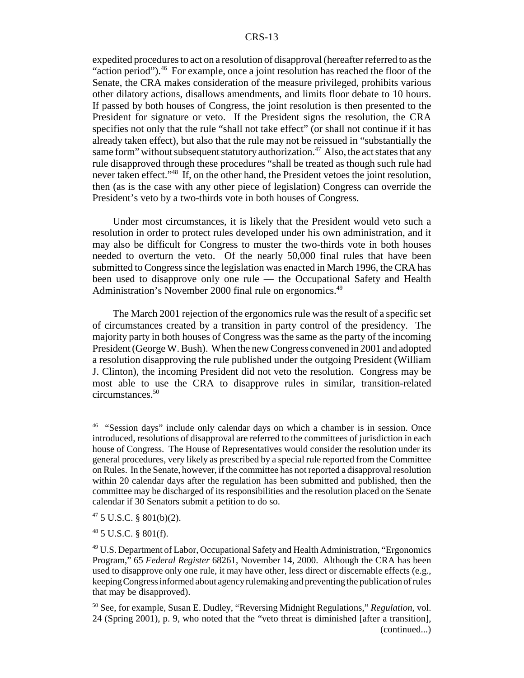#### CRS-13

expedited procedures to act on a resolution of disapproval (hereafter referred to as the "action period").<sup>46</sup> For example, once a joint resolution has reached the floor of the Senate, the CRA makes consideration of the measure privileged, prohibits various other dilatory actions, disallows amendments, and limits floor debate to 10 hours. If passed by both houses of Congress, the joint resolution is then presented to the President for signature or veto. If the President signs the resolution, the CRA specifies not only that the rule "shall not take effect" (or shall not continue if it has already taken effect), but also that the rule may not be reissued in "substantially the same form" without subsequent statutory authorization.<sup>47</sup> Also, the act states that any rule disapproved through these procedures "shall be treated as though such rule had never taken effect."48 If, on the other hand, the President vetoes the joint resolution, then (as is the case with any other piece of legislation) Congress can override the President's veto by a two-thirds vote in both houses of Congress.

Under most circumstances, it is likely that the President would veto such a resolution in order to protect rules developed under his own administration, and it may also be difficult for Congress to muster the two-thirds vote in both houses needed to overturn the veto. Of the nearly 50,000 final rules that have been submitted to Congress since the legislation was enacted in March 1996, the CRA has been used to disapprove only one rule — the Occupational Safety and Health Administration's November 2000 final rule on ergonomics.<sup>49</sup>

The March 2001 rejection of the ergonomics rule was the result of a specific set of circumstances created by a transition in party control of the presidency. The majority party in both houses of Congress was the same as the party of the incoming President (George W. Bush). When the new Congress convened in 2001 and adopted a resolution disapproving the rule published under the outgoing President (William J. Clinton), the incoming President did not veto the resolution. Congress may be most able to use the CRA to disapprove rules in similar, transition-related circumstances.50

<sup>&</sup>lt;sup>46</sup> "Session days" include only calendar days on which a chamber is in session. Once introduced, resolutions of disapproval are referred to the committees of jurisdiction in each house of Congress. The House of Representatives would consider the resolution under its general procedures, very likely as prescribed by a special rule reported from the Committee on Rules. In the Senate, however, if the committee has not reported a disapproval resolution within 20 calendar days after the regulation has been submitted and published, then the committee may be discharged of its responsibilities and the resolution placed on the Senate calendar if 30 Senators submit a petition to do so.

 $47$  5 U.S.C. § 801(b)(2).

<sup>48 5</sup> U.S.C. § 801(f).

<sup>49</sup> U.S. Department of Labor, Occupational Safety and Health Administration, "Ergonomics Program," 65 *Federal Register* 68261, November 14, 2000. Although the CRA has been used to disapprove only one rule, it may have other, less direct or discernable effects (e.g., keeping Congress informed about agency rulemaking and preventing the publication of rules that may be disapproved).

<sup>50</sup> See, for example, Susan E. Dudley, "Reversing Midnight Regulations," *Regulation*, vol. 24 (Spring 2001), p. 9, who noted that the "veto threat is diminished [after a transition], (continued...)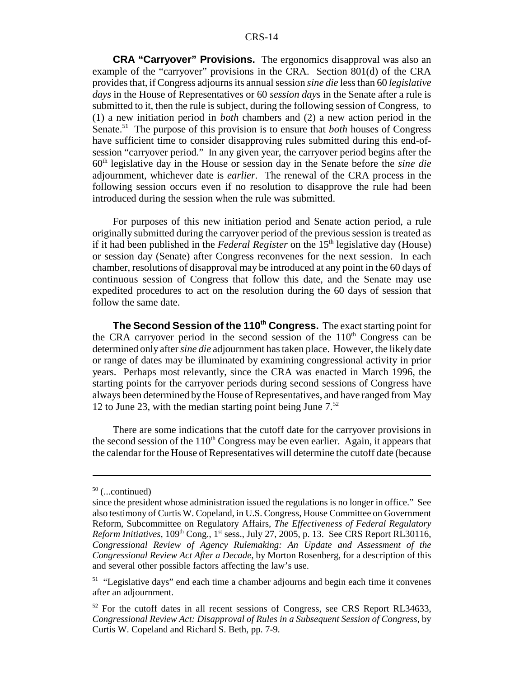**CRA "Carryover" Provisions.** The ergonomics disapproval was also an example of the "carryover" provisions in the CRA. Section 801(d) of the CRA provides that, if Congress adjourns its annual session *sine die* less than 60 *legislative days* in the House of Representatives or 60 *session days* in the Senate after a rule is submitted to it, then the rule is subject, during the following session of Congress, to (1) a new initiation period in *both* chambers and (2) a new action period in the Senate.51 The purpose of this provision is to ensure that *both* houses of Congress have sufficient time to consider disapproving rules submitted during this end-ofsession "carryover period." In any given year, the carryover period begins after the 60th legislative day in the House or session day in the Senate before the *sine die* adjournment, whichever date is *earlier*. The renewal of the CRA process in the following session occurs even if no resolution to disapprove the rule had been introduced during the session when the rule was submitted.

For purposes of this new initiation period and Senate action period, a rule originally submitted during the carryover period of the previous session is treated as if it had been published in the *Federal Register* on the 15<sup>th</sup> legislative day (House) or session day (Senate) after Congress reconvenes for the next session. In each chamber, resolutions of disapproval may be introduced at any point in the 60 days of continuous session of Congress that follow this date, and the Senate may use expedited procedures to act on the resolution during the 60 days of session that follow the same date.

**The Second Session of the 110th Congress.** The exact starting point for the CRA carryover period in the second session of the  $110<sup>th</sup>$  Congress can be determined only after *sine die* adjournment has taken place. However, the likely date or range of dates may be illuminated by examining congressional activity in prior years. Perhaps most relevantly, since the CRA was enacted in March 1996, the starting points for the carryover periods during second sessions of Congress have always been determined by the House of Representatives, and have ranged from May 12 to June 23, with the median starting point being June  $7<sup>52</sup>$ 

There are some indications that the cutoff date for the carryover provisions in the second session of the  $110<sup>th</sup>$  Congress may be even earlier. Again, it appears that the calendar for the House of Representatives will determine the cutoff date (because

 $50$  (...continued)

since the president whose administration issued the regulations is no longer in office." See also testimony of Curtis W. Copeland, in U.S. Congress, House Committee on Government Reform, Subcommittee on Regulatory Affairs, *The Effectiveness of Federal Regulatory Reform Initiatives*, 109<sup>th</sup> Cong., 1<sup>st</sup> sess., July 27, 2005, p. 13. See CRS Report RL30116, *Congressional Review of Agency Rulemaking: An Update and Assessment of the Congressional Review Act After a Decade*, by Morton Rosenberg, for a description of this and several other possible factors affecting the law's use.

<sup>&</sup>lt;sup>51</sup> "Legislative days" end each time a chamber adjourns and begin each time it convenes after an adjournment.

<sup>&</sup>lt;sup>52</sup> For the cutoff dates in all recent sessions of Congress, see CRS Report RL34633, *Congressional Review Act: Disapproval of Rules in a Subsequent Session of Congress*, by Curtis W. Copeland and Richard S. Beth, pp. 7-9.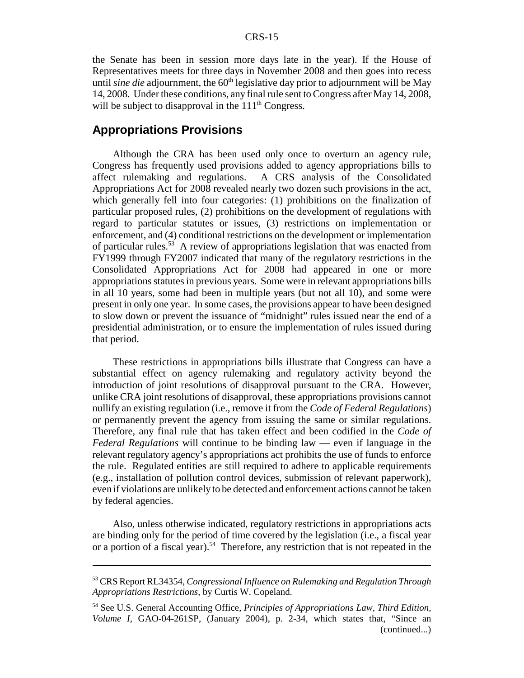the Senate has been in session more days late in the year). If the House of Representatives meets for three days in November 2008 and then goes into recess until *sine die* adjournment, the 60<sup>th</sup> legislative day prior to adjournment will be May 14, 2008. Under these conditions, any final rule sent to Congress after May 14, 2008, will be subject to disapproval in the  $111<sup>th</sup>$  Congress.

#### **Appropriations Provisions**

Although the CRA has been used only once to overturn an agency rule, Congress has frequently used provisions added to agency appropriations bills to affect rulemaking and regulations. A CRS analysis of the Consolidated Appropriations Act for 2008 revealed nearly two dozen such provisions in the act, which generally fell into four categories: (1) prohibitions on the finalization of particular proposed rules, (2) prohibitions on the development of regulations with regard to particular statutes or issues, (3) restrictions on implementation or enforcement, and (4) conditional restrictions on the development or implementation of particular rules.53 A review of appropriations legislation that was enacted from FY1999 through FY2007 indicated that many of the regulatory restrictions in the Consolidated Appropriations Act for 2008 had appeared in one or more appropriations statutes in previous years. Some were in relevant appropriations bills in all 10 years, some had been in multiple years (but not all 10), and some were present in only one year. In some cases, the provisions appear to have been designed to slow down or prevent the issuance of "midnight" rules issued near the end of a presidential administration, or to ensure the implementation of rules issued during that period.

These restrictions in appropriations bills illustrate that Congress can have a substantial effect on agency rulemaking and regulatory activity beyond the introduction of joint resolutions of disapproval pursuant to the CRA. However, unlike CRA joint resolutions of disapproval, these appropriations provisions cannot nullify an existing regulation (i.e., remove it from the *Code of Federal Regulations*) or permanently prevent the agency from issuing the same or similar regulations. Therefore, any final rule that has taken effect and been codified in the *Code of Federal Regulations* will continue to be binding law — even if language in the relevant regulatory agency's appropriations act prohibits the use of funds to enforce the rule. Regulated entities are still required to adhere to applicable requirements (e.g., installation of pollution control devices, submission of relevant paperwork), even if violations are unlikely to be detected and enforcement actions cannot be taken by federal agencies.

Also, unless otherwise indicated, regulatory restrictions in appropriations acts are binding only for the period of time covered by the legislation (i.e., a fiscal year or a portion of a fiscal year).<sup>54</sup> Therefore, any restriction that is not repeated in the

<sup>53</sup> CRS Report RL34354, *Congressional Influence on Rulemaking and Regulation Through Appropriations Restrictions*, by Curtis W. Copeland.

<sup>54</sup> See U.S. General Accounting Office, *Principles of Appropriations Law, Third Edition, Volume I*, GAO-04-261SP, (January 2004), p. 2-34, which states that, "Since an (continued...)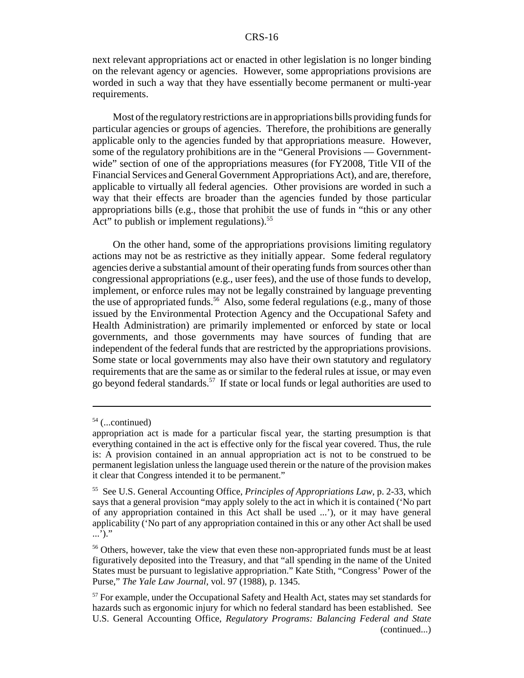next relevant appropriations act or enacted in other legislation is no longer binding on the relevant agency or agencies. However, some appropriations provisions are worded in such a way that they have essentially become permanent or multi-year requirements.

Most of the regulatory restrictions are in appropriations bills providing funds for particular agencies or groups of agencies. Therefore, the prohibitions are generally applicable only to the agencies funded by that appropriations measure. However, some of the regulatory prohibitions are in the "General Provisions — Governmentwide" section of one of the appropriations measures (for FY2008, Title VII of the Financial Services and General Government Appropriations Act), and are, therefore, applicable to virtually all federal agencies. Other provisions are worded in such a way that their effects are broader than the agencies funded by those particular appropriations bills (e.g., those that prohibit the use of funds in "this or any other Act" to publish or implement regulations).<sup>55</sup>

On the other hand, some of the appropriations provisions limiting regulatory actions may not be as restrictive as they initially appear. Some federal regulatory agencies derive a substantial amount of their operating funds from sources other than congressional appropriations (e.g., user fees), and the use of those funds to develop, implement, or enforce rules may not be legally constrained by language preventing the use of appropriated funds.<sup>56</sup> Also, some federal regulations (e.g., many of those issued by the Environmental Protection Agency and the Occupational Safety and Health Administration) are primarily implemented or enforced by state or local governments, and those governments may have sources of funding that are independent of the federal funds that are restricted by the appropriations provisions. Some state or local governments may also have their own statutory and regulatory requirements that are the same as or similar to the federal rules at issue, or may even go beyond federal standards.57 If state or local funds or legal authorities are used to

 $54$  (...continued)

appropriation act is made for a particular fiscal year, the starting presumption is that everything contained in the act is effective only for the fiscal year covered. Thus, the rule is: A provision contained in an annual appropriation act is not to be construed to be permanent legislation unless the language used therein or the nature of the provision makes it clear that Congress intended it to be permanent."

<sup>55</sup> See U.S. General Accounting Office, *Principles of Appropriations Law*, p. 2-33, which says that a general provision "may apply solely to the act in which it is contained ('No part of any appropriation contained in this Act shall be used ...'), or it may have general applicability ('No part of any appropriation contained in this or any other Act shall be used ...')."

<sup>&</sup>lt;sup>56</sup> Others, however, take the view that even these non-appropriated funds must be at least figuratively deposited into the Treasury, and that "all spending in the name of the United States must be pursuant to legislative appropriation." Kate Stith, "Congress' Power of the Purse," *The Yale Law Journal*, vol. 97 (1988), p. 1345.

<sup>&</sup>lt;sup>57</sup> For example, under the Occupational Safety and Health Act, states may set standards for hazards such as ergonomic injury for which no federal standard has been established. See U.S. General Accounting Office, *Regulatory Programs: Balancing Federal and State* (continued...)